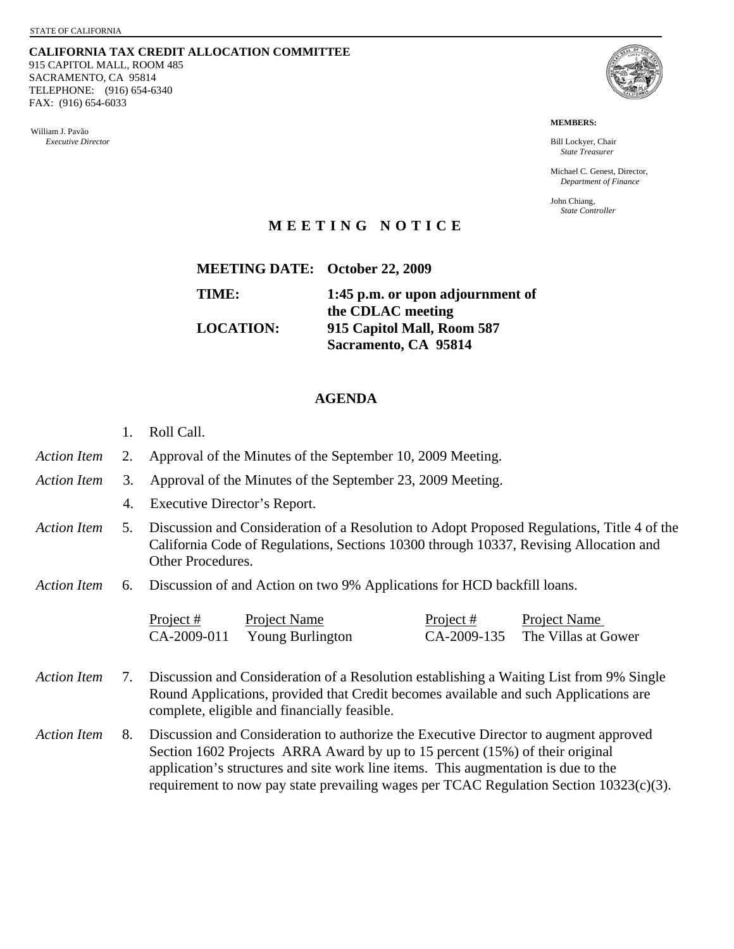**CALIFORNIA TAX CREDIT ALLOCATION COMMITTEE** 915 CAPITOL MALL, ROOM 485 SACRAMENTO, CA 95814 TELEPHONE: (916) 654-6340 FAX: (916) 654-6033

William J. Pavão *Executive Director* 



**MEMBERS:** 

Bill Lockyer, Chair *State Treasurer* 

Michael C. Genest, Director, *Department of Finance* 

John Chiang, *State Controller* 

## **MEETING NOTICE**

| <b>MEETING DATE: October 22, 2009</b> |                                                       |
|---------------------------------------|-------------------------------------------------------|
| TIME:                                 | 1:45 p.m. or upon adjournment of<br>the CDLAC meeting |
| <b>LOCATION:</b>                      | 915 Capitol Mall, Room 587<br>Sacramento, CA 95814    |

## **AGENDA**

- 1. Roll Call.
- *Action Item* 2. Approval of the Minutes of the September 10, 2009 Meeting.
- *Action Item* 3. Approval of the Minutes of the September 23, 2009 Meeting.
	- 4. Executive Director's Report.
- *Action Item* 5. Discussion and Consideration of a Resolution to Adopt Proposed Regulations, Title 4 of the California Code of Regulations, Sections 10300 through 10337, Revising Allocation and Other Procedures.
- *Action Item* 6. Discussion of and Action on two 9% Applications for HCD backfill loans.

| Project $#$ | Project Name     | Project $#$ | Project Name                    |
|-------------|------------------|-------------|---------------------------------|
| CA-2009-011 | Young Burlington |             | CA-2009-135 The Villas at Gower |

- *Action Item* 7. Discussion and Consideration of a Resolution establishing a Waiting List from 9% Single Round Applications, provided that Credit becomes available and such Applications are complete, eligible and financially feasible.
- *Action Item* 8. Discussion and Consideration to authorize the Executive Director to augment approved Section 1602 Projects ARRA Award by up to 15 percent (15%) of their original application's structures and site work line items. This augmentation is due to the requirement to now pay state prevailing wages per TCAC Regulation Section 10323(c)(3).